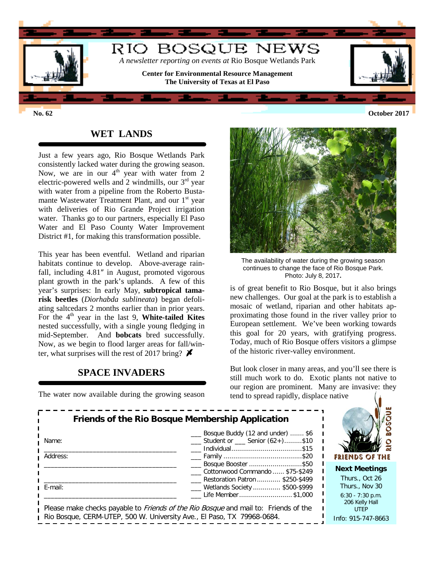

## **WET LANDS**

Just a few years ago, Rio Bosque Wetlands Park consistently lacked water during the growing season. Now, we are in our  $4<sup>th</sup>$  year with water from 2 electric-powered wells and 2 windmills, our  $3<sup>rd</sup>$  year with water from a pipeline from the Roberto Bustamante Wastewater Treatment Plant, and our 1<sup>st</sup> year with deliveries of Rio Grande Project irrigation water. Thanks go to our partners, especially El Paso Water and El Paso County Water Improvement District #1, for making this transformation possible.

This year has been eventful. Wetland and riparian habitats continue to develop. Above-average rainfall, including 4.81″ in August, promoted vigorous plant growth in the park's uplands. A few of this year's surprises: In early May, **subtropical tamarisk beetles** (*Diorhabda sublineata*) began defoliating saltcedars 2 months earlier than in prior years. For the 4<sup>th</sup> year in the last 9, **White-tailed Kites** nested successfully, with a single young fledging in mid-September. And **bobcats** bred successfully. Now, as we begin to flood larger areas for fall/winter, what surprises will the rest of 2017 bring?  $\blacktriangleright$ 

## **SPACE INVADERS**

The water now available during the growing season



The availability of water during the growing season continues to change the face of Rio Bosque Park. Photo: July 8, 2017**.**

is of great benefit to Rio Bosque, but it also brings new challenges. Our goal at the park is to establish a mosaic of wetland, riparian and other habitats approximating those found in the river valley prior to European settlement. We've been working towards this goal for 20 years, with gratifying progress. Today, much of Rio Bosque offers visitors a glimpse of the historic river-valley environment.

But look closer in many areas, and you'll see there is still much work to do. Exotic plants not native to our region are prominent. Many are invasive: they tend to spread rapidly, displace native

| Friends of the Rio Bosque Membership Application                                                                                                                     |                                                                                           |                                        |
|----------------------------------------------------------------------------------------------------------------------------------------------------------------------|-------------------------------------------------------------------------------------------|----------------------------------------|
| Name:                                                                                                                                                                | Bosque Buddy (12 and under)  \$6<br>Student or ____ Senior (62+)\$10<br>Individual\$15    |                                        |
| Address:                                                                                                                                                             | ____ Family ……………………………………\$20                                                            | <b>FRIENDS OF THE</b>                  |
|                                                                                                                                                                      | Bosque Booster \$50<br>Cottonwood Commando  \$75-\$249<br>Restoration Patron  \$250-\$499 | <b>Next Meetings</b><br>Thurs., Oct 26 |
| E-mail:                                                                                                                                                              | _ Wetlands Society  \$500-\$999                                                           | Thurs., Nov 30                         |
| Please make checks payable to <i>Friends of the Rio Bosque</i> and mail to: Friends of the<br>Rio Bosque, CERM-UTEP, 500 W. University Ave., El Paso, TX 79968-0684. | $6:30 - 7:30$ p.m.<br>206 Kelly Hall<br><b>UTEP</b><br>Info: 915-747-8663                 |                                        |